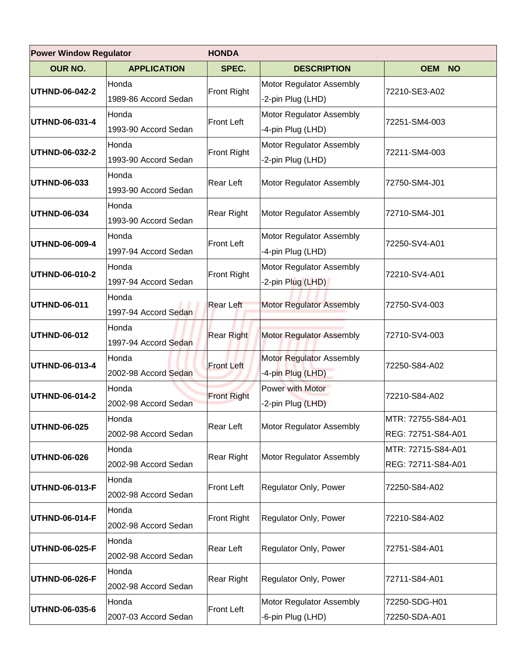|                       | <b>Power Window Regulator</b><br><b>HONDA</b> |                    |                                 |                    |  |
|-----------------------|-----------------------------------------------|--------------------|---------------------------------|--------------------|--|
| <b>OUR NO.</b>        | <b>APPLICATION</b>                            | SPEC.              | <b>DESCRIPTION</b>              | <b>OEM NO</b>      |  |
| <b>UTHND-06-042-2</b> | Honda                                         | <b>Front Right</b> | Motor Regulator Assembly        | 72210-SE3-A02      |  |
|                       | 1989-86 Accord Sedan                          |                    | -2-pin Plug (LHD)               |                    |  |
| UTHND-06-031-4        | Honda                                         | <b>Front Left</b>  | Motor Regulator Assembly        | 72251-SM4-003      |  |
|                       | 1993-90 Accord Sedan                          |                    | -4-pin Plug (LHD)               |                    |  |
| UTHND-06-032-2        | Honda                                         | Front Right        | Motor Regulator Assembly        | 72211-SM4-003      |  |
|                       | 1993-90 Accord Sedan                          |                    | -2-pin Plug (LHD)               |                    |  |
| <b>UTHND-06-033</b>   | Honda                                         | <b>Rear Left</b>   | Motor Regulator Assembly        | 72750-SM4-J01      |  |
|                       | 1993-90 Accord Sedan                          |                    |                                 |                    |  |
| <b>UTHND-06-034</b>   | Honda                                         | <b>Rear Right</b>  | Motor Regulator Assembly        | 72710-SM4-J01      |  |
|                       | 1993-90 Accord Sedan                          |                    |                                 |                    |  |
| UTHND-06-009-4        | Honda                                         | <b>Front Left</b>  | Motor Regulator Assembly        | 72250-SV4-A01      |  |
|                       | 1997-94 Accord Sedan                          |                    | -4-pin Plug (LHD)               |                    |  |
| UTHND-06-010-2        | Honda                                         | <b>Front Right</b> | Motor Regulator Assembly        | 72210-SV4-A01      |  |
|                       | 1997-94 Accord Sedan                          |                    | -2-pin Plug (LHD)               |                    |  |
| <b>UTHND-06-011</b>   | Honda                                         | <b>Rear Left</b>   | <b>Motor Regulator Assembly</b> | 72750-SV4-003      |  |
|                       | 1997-94 Accord Sedan                          |                    |                                 |                    |  |
| <b>UTHND-06-012</b>   | Honda                                         | <b>Rear Right</b>  | Motor Regulator Assembly        | 72710-SV4-003      |  |
|                       | 1997-94 Accord Sedan                          |                    |                                 |                    |  |
| UTHND-06-013-4        | Honda                                         | <b>Front Left</b>  | Motor Regulator Assembly        | 72250-S84-A02      |  |
|                       | 2002-98 Accord Sedan                          |                    | -4-pin Plug (LHD)               |                    |  |
| UTHND-06-014-2        | Honda                                         | <b>Front Right</b> | <b>Power with Motor</b>         | 72210-S84-A02      |  |
|                       | 2002-98 Accord Sedan                          |                    | -2-pin Plug (LHD)               |                    |  |
| <b>UTHND-06-025</b>   | Honda                                         | <b>Rear Left</b>   | Motor Regulator Assembly        | MTR: 72755-S84-A01 |  |
|                       | 2002-98 Accord Sedan                          |                    |                                 | REG: 72751-S84-A01 |  |
| <b>UTHND-06-026</b>   | Honda                                         | Rear Right         | Motor Regulator Assembly        | MTR: 72715-S84-A01 |  |
|                       | 2002-98 Accord Sedan                          |                    |                                 | REG: 72711-S84-A01 |  |
| <b>UTHND-06-013-F</b> | Honda                                         | <b>Front Left</b>  | Regulator Only, Power           | 72250-S84-A02      |  |
|                       | 2002-98 Accord Sedan                          |                    |                                 |                    |  |
| UTHND-06-014-F        | Honda                                         | <b>Front Right</b> | Regulator Only, Power           | 72210-S84-A02      |  |
|                       | 2002-98 Accord Sedan                          |                    |                                 |                    |  |
| UTHND-06-025-F        | Honda                                         | <b>Rear Left</b>   |                                 |                    |  |
|                       | 2002-98 Accord Sedan                          |                    | Regulator Only, Power           | 72751-S84-A01      |  |
| <b>UTHND-06-026-F</b> | Honda                                         | <b>Rear Right</b>  | Regulator Only, Power           |                    |  |
|                       | 2002-98 Accord Sedan                          |                    |                                 | 72711-S84-A01      |  |
|                       | Honda                                         | <b>Front Left</b>  | Motor Regulator Assembly        | 72250-SDG-H01      |  |
| UTHND-06-035-6        | 2007-03 Accord Sedan                          |                    | -6-pin Plug (LHD)               | 72250-SDA-A01      |  |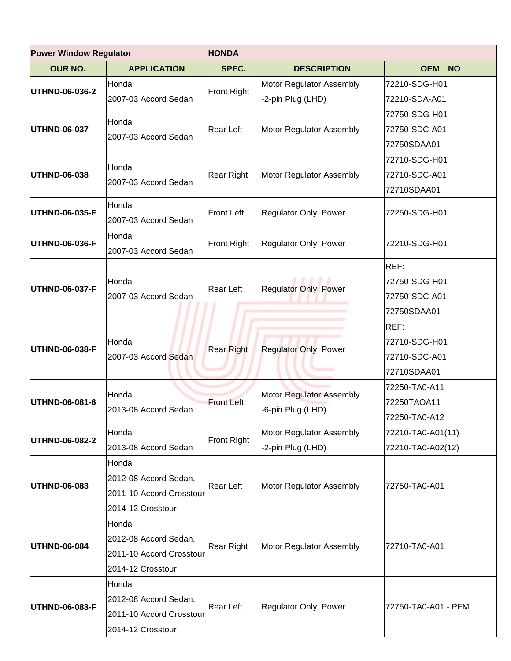|                     | <b>Power Window Regulator</b><br><b>HONDA</b> |                    |                                                      |                         |  |
|---------------------|-----------------------------------------------|--------------------|------------------------------------------------------|-------------------------|--|
| <b>OUR NO.</b>      | <b>APPLICATION</b>                            | SPEC.              | <b>DESCRIPTION</b>                                   | <b>OEM</b><br><b>NO</b> |  |
|                     | Honda                                         |                    | Motor Regulator Assembly                             | 72210-SDG-H01           |  |
| UTHND-06-036-2      | 2007-03 Accord Sedan                          | Front Right        | -2-pin Plug (LHD)                                    | 72210-SDA-A01           |  |
|                     |                                               |                    |                                                      | 72750-SDG-H01           |  |
| <b>UTHND-06-037</b> | Honda<br>2007-03 Accord Sedan                 | Rear Left          | Motor Regulator Assembly                             | 72750-SDC-A01           |  |
|                     |                                               |                    |                                                      | 72750SDAA01             |  |
|                     |                                               |                    |                                                      | 72710-SDG-H01           |  |
| UTHND-06-038        | Honda                                         | <b>Rear Right</b>  | Motor Regulator Assembly                             | 72710-SDC-A01           |  |
|                     | 2007-03 Accord Sedan                          |                    |                                                      | 72710SDAA01             |  |
|                     | Honda                                         |                    |                                                      |                         |  |
| UTHND-06-035-F      | 2007-03 Accord Sedan                          | <b>Front Left</b>  | Regulator Only, Power                                | 72250-SDG-H01           |  |
| UTHND-06-036-F      | Honda                                         |                    |                                                      |                         |  |
|                     | 2007-03 Accord Sedan                          | <b>Front Right</b> | Regulator Only, Power                                | 72210-SDG-H01           |  |
|                     |                                               |                    |                                                      | REF:                    |  |
|                     | Honda                                         |                    |                                                      | 72750-SDG-H01           |  |
| UTHND-06-037-F      | 2007-03 Accord Sedan                          | Rear Left          | <b>Regulator Only, Power</b>                         | 72750-SDC-A01           |  |
|                     |                                               |                    |                                                      | 72750SDAA01             |  |
|                     |                                               |                    |                                                      | REF:                    |  |
|                     | Honda                                         | <b>Rear Right</b>  |                                                      | 72710-SDG-H01           |  |
| UTHND-06-038-F      | 2007-03 Accord Sedan                          |                    | <b>Regulator Only, Power</b>                         | 72710-SDC-A01           |  |
|                     |                                               |                    |                                                      | 72710SDAA01             |  |
|                     |                                               |                    | <b>Motor Regulator Assembly</b><br>-6-pin Plug (LHD) | 72250-TA0-A11           |  |
| UTHND-06-081-6      | Honda                                         | <b>Front Left</b>  |                                                      | 72250TAOA11             |  |
|                     | 2013-08 Accord Sedan                          |                    |                                                      | 72250-TA0-A12           |  |
|                     | Honda                                         |                    | Motor Regulator Assembly                             | 72210-TA0-A01(11)       |  |
| UTHND-06-082-2      | 2013-08 Accord Sedan                          | Front Right        | -2-pin Plug (LHD)                                    | 72210-TA0-A02(12)       |  |
|                     | Honda                                         |                    |                                                      |                         |  |
|                     | 2012-08 Accord Sedan,                         |                    |                                                      |                         |  |
| UTHND-06-083        | 2011-10 Accord Crosstour                      | Rear Left          | Motor Regulator Assembly                             | 72750-TA0-A01           |  |
|                     | 2014-12 Crosstour                             |                    |                                                      |                         |  |
|                     | Honda                                         |                    |                                                      |                         |  |
|                     | 2012-08 Accord Sedan,                         |                    |                                                      |                         |  |
| <b>UTHND-06-084</b> | 2011-10 Accord Crosstour                      | Rear Right         | Motor Regulator Assembly                             | 72710-TA0-A01           |  |
|                     | 2014-12 Crosstour                             |                    |                                                      |                         |  |
|                     | Honda                                         |                    |                                                      |                         |  |
|                     | 2012-08 Accord Sedan,                         |                    |                                                      |                         |  |
| UTHND-06-083-F      | 2011-10 Accord Crosstour                      | Rear Left          | Regulator Only, Power                                | 72750-TA0-A01 - PFM     |  |
|                     | 2014-12 Crosstour                             |                    |                                                      |                         |  |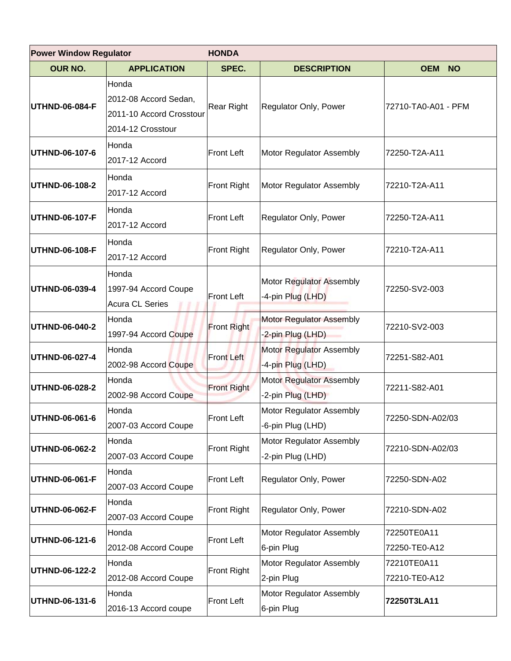|                       | <b>Power Window Regulator</b><br><b>HONDA</b>                                   |                    |                                                      |                              |  |
|-----------------------|---------------------------------------------------------------------------------|--------------------|------------------------------------------------------|------------------------------|--|
| OUR NO.               | <b>APPLICATION</b>                                                              | SPEC.              | <b>DESCRIPTION</b>                                   | <b>OEM</b><br><b>NO</b>      |  |
| <b>UTHND-06-084-F</b> | Honda<br>2012-08 Accord Sedan,<br>2011-10 Accord Crosstour<br>2014-12 Crosstour | Rear Right         | Regulator Only, Power                                | 72710-TA0-A01 - PFM          |  |
| UTHND-06-107-6        | Honda<br>2017-12 Accord                                                         | <b>Front Left</b>  | Motor Regulator Assembly                             | 72250-T2A-A11                |  |
| UTHND-06-108-2        | Honda<br>2017-12 Accord                                                         | <b>Front Right</b> | Motor Regulator Assembly                             | 72210-T2A-A11                |  |
| UTHND-06-107-F        | Honda<br>2017-12 Accord                                                         | <b>Front Left</b>  | Regulator Only, Power                                | 72250-T2A-A11                |  |
| <b>UTHND-06-108-F</b> | Honda<br>2017-12 Accord                                                         | <b>Front Right</b> | Regulator Only, Power                                | 72210-T2A-A11                |  |
| UTHND-06-039-4        | Honda<br>1997-94 Accord Coupe<br><b>Acura CL Series</b>                         | <b>Front Left</b>  | Motor Regulator Assembly<br>-4-pin Plug (LHD)        | 72250-SV2-003                |  |
| UTHND-06-040-2        | Honda<br>1997-94 Accord Coupe                                                   | Front Right        | Motor Regulator Assembly<br>-2-pin Plug (LHD)        | 72210-SV2-003                |  |
| UTHND-06-027-4        | Honda<br>2002-98 Accord Coupe                                                   | <b>Front Left</b>  | <b>Motor Regulator Assembly</b><br>-4-pin Plug (LHD) | 72251-S82-A01                |  |
| UTHND-06-028-2        | Honda<br>2002-98 Accord Coupe                                                   | <b>Front Right</b> | <b>Motor Regulator Assembly</b><br>-2-pin Plug (LHD) | 72211-S82-A01                |  |
| UTHND-06-061-6        | Honda<br>2007-03 Accord Coupe                                                   | Front Left         | Motor Regulator Assembly<br>-6-pin Plug (LHD)        | 72250-SDN-A02/03             |  |
| UTHND-06-062-2        | Honda<br>2007-03 Accord Coupe                                                   | Front Right        | Motor Regulator Assembly<br>-2-pin Plug (LHD)        | 72210-SDN-A02/03             |  |
| <b>UTHND-06-061-F</b> | Honda<br>2007-03 Accord Coupe                                                   | Front Left         | Regulator Only, Power                                | 72250-SDN-A02                |  |
| <b>UTHND-06-062-F</b> | Honda<br>2007-03 Accord Coupe                                                   | Front Right        | Regulator Only, Power                                | 72210-SDN-A02                |  |
| <b>UTHND-06-121-6</b> | Honda<br>2012-08 Accord Coupe                                                   | Front Left         | Motor Regulator Assembly<br>6-pin Plug               | 72250TE0A11<br>72250-TE0-A12 |  |
| <b>UTHND-06-122-2</b> | Honda<br>2012-08 Accord Coupe                                                   | Front Right        | Motor Regulator Assembly<br>2-pin Plug               | 72210TE0A11<br>72210-TE0-A12 |  |
| <b>UTHND-06-131-6</b> | Honda<br>2016-13 Accord coupe                                                   | <b>Front Left</b>  | Motor Regulator Assembly<br>6-pin Plug               | 72250T3LA11                  |  |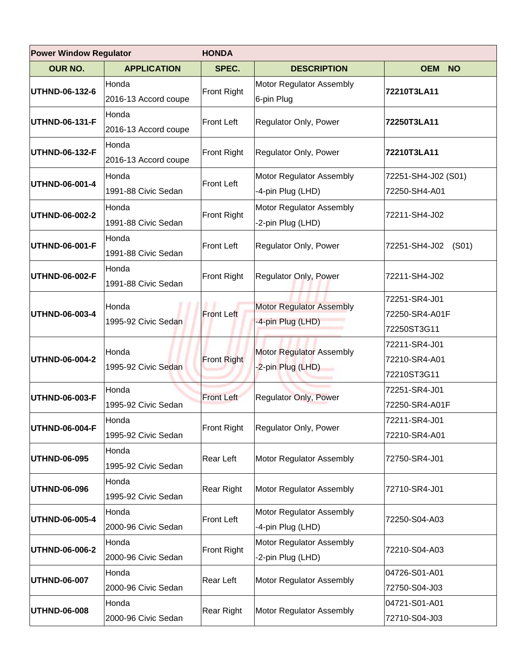|                | <b>Power Window Regulator</b><br><b>HONDA</b> |                    |                                                      |                                                |
|----------------|-----------------------------------------------|--------------------|------------------------------------------------------|------------------------------------------------|
| <b>OUR NO.</b> | <b>APPLICATION</b>                            | SPEC.              | <b>DESCRIPTION</b>                                   | <b>OEM</b><br><b>NO</b>                        |
| UTHND-06-132-6 | Honda<br>2016-13 Accord coupe                 | <b>Front Right</b> | Motor Regulator Assembly<br>6-pin Plug               | 72210T3LA11                                    |
| UTHND-06-131-F | Honda<br>2016-13 Accord coupe                 | <b>Front Left</b>  | Regulator Only, Power                                | 72250T3LA11                                    |
| UTHND-06-132-F | Honda<br>2016-13 Accord coupe                 | <b>Front Right</b> | Regulator Only, Power                                | 72210T3LA11                                    |
| UTHND-06-001-4 | Honda<br>1991-88 Civic Sedan                  | <b>Front Left</b>  | Motor Regulator Assembly<br>-4-pin Plug (LHD)        | 72251-SH4-J02 (S01)<br>72250-SH4-A01           |
| UTHND-06-002-2 | Honda<br>1991-88 Civic Sedan                  | <b>Front Right</b> | Motor Regulator Assembly<br>-2-pin Plug (LHD)        | 72211-SH4-J02                                  |
| UTHND-06-001-F | Honda<br>1991-88 Civic Sedan                  | <b>Front Left</b>  | Regulator Only, Power                                | 72251-SH4-J02<br>(S <sub>01</sub> )            |
| UTHND-06-002-F | Honda<br>1991-88 Civic Sedan                  | <b>Front Right</b> | Regulator Only, Power                                | 72211-SH4-J02                                  |
| UTHND-06-003-4 | Honda<br>1995-92 Civic Sedan                  | <b>Front Left</b>  | <b>Motor Regulator Assembly</b><br>-4-pin Plug (LHD) | 72251-SR4-J01<br>72250-SR4-A01F<br>72250ST3G11 |
| UTHND-06-004-2 | Honda<br>1995-92 Civic Sedan                  | <b>Front Right</b> | Motor Regulator Assembly<br>-2-pin Plug (LHD)        | 72211-SR4-J01<br>72210-SR4-A01<br>72210ST3G11  |
| UTHND-06-003-F | Honda<br>1995-92 Civic Sedan                  | <b>Front Left</b>  | <b>Regulator Only, Power</b>                         | 72251-SR4-J01<br>72250-SR4-A01F                |
| UTHND-06-004-F | Honda<br>1995-92 Civic Sedan                  | <b>Front Right</b> | Regulator Only, Power                                | 72211-SR4-J01<br>72210-SR4-A01                 |
| UTHND-06-095   | Honda<br>1995-92 Civic Sedan                  | Rear Left          | Motor Regulator Assembly                             | 72750-SR4-J01                                  |
| UTHND-06-096   | Honda<br>1995-92 Civic Sedan                  | Rear Right         | Motor Regulator Assembly                             | 72710-SR4-J01                                  |
| UTHND-06-005-4 | Honda<br>2000-96 Civic Sedan                  | Front Left         | Motor Regulator Assembly<br>-4-pin Plug (LHD)        | 72250-S04-A03                                  |
| UTHND-06-006-2 | Honda<br>2000-96 Civic Sedan                  | Front Right        | Motor Regulator Assembly<br>-2-pin Plug (LHD)        | 72210-S04-A03                                  |
| UTHND-06-007   | Honda<br>2000-96 Civic Sedan                  | Rear Left          | Motor Regulator Assembly                             | 04726-S01-A01<br>72750-S04-J03                 |
| UTHND-06-008   | Honda<br>2000-96 Civic Sedan                  | <b>Rear Right</b>  | Motor Regulator Assembly                             | 04721-S01-A01<br>72710-S04-J03                 |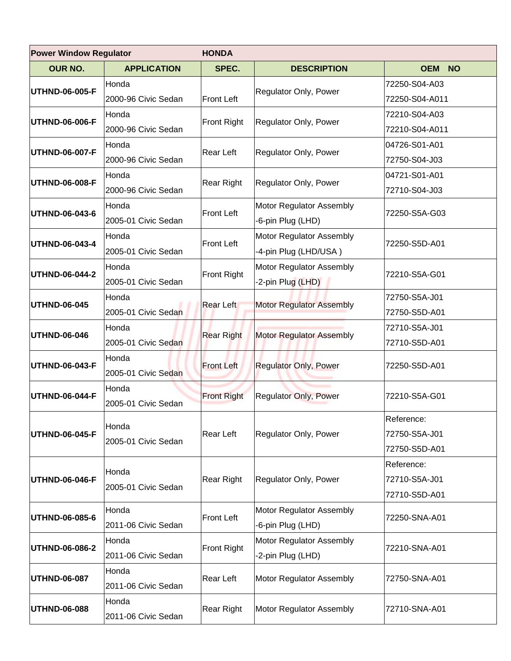| <b>Power Window Regulator</b><br><b>HONDA</b> |                     |                    |                                 |                         |
|-----------------------------------------------|---------------------|--------------------|---------------------------------|-------------------------|
| <b>OUR NO.</b>                                | <b>APPLICATION</b>  | SPEC.              | <b>DESCRIPTION</b>              | <b>OEM</b><br><b>NO</b> |
| UTHND-06-005-F                                | Honda               |                    | Regulator Only, Power           | 72250-S04-A03           |
|                                               | 2000-96 Civic Sedan | <b>Front Left</b>  |                                 | 72250-S04-A011          |
| UTHND-06-006-F                                | Honda               | <b>Front Right</b> | Regulator Only, Power           | 72210-S04-A03           |
|                                               | 2000-96 Civic Sedan |                    |                                 | 72210-S04-A011          |
| UTHND-06-007-F                                | Honda               | Rear Left          | Regulator Only, Power           | 04726-S01-A01           |
|                                               | 2000-96 Civic Sedan |                    |                                 | 72750-S04-J03           |
| UTHND-06-008-F                                | Honda               | Rear Right         | Regulator Only, Power           | 04721-S01-A01           |
|                                               | 2000-96 Civic Sedan |                    |                                 | 72710-S04-J03           |
| UTHND-06-043-6                                | Honda               | <b>Front Left</b>  | Motor Regulator Assembly        | 72250-S5A-G03           |
|                                               | 2005-01 Civic Sedan |                    | -6-pin Plug (LHD)               |                         |
| UTHND-06-043-4                                | Honda               | <b>Front Left</b>  | Motor Regulator Assembly        | 72250-S5D-A01           |
|                                               | 2005-01 Civic Sedan |                    | -4-pin Plug (LHD/USA)           |                         |
| UTHND-06-044-2                                | Honda               | <b>Front Right</b> | Motor Regulator Assembly        | 72210-S5A-G01           |
|                                               | 2005-01 Civic Sedan |                    | -2-pin Plug (LHD)               |                         |
| UTHND-06-045                                  | Honda               | <b>Rear Left</b>   | <b>Motor Regulator Assembly</b> | 72750-S5A-J01           |
|                                               | 2005-01 Civic Sedan |                    |                                 | 72750-S5D-A01           |
| UTHND-06-046                                  | Honda               | <b>Rear Right</b>  | <b>Motor Regulator Assembly</b> | 72710-S5A-J01           |
|                                               | 2005-01 Civic Sedan |                    |                                 | 72710-S5D-A01           |
| UTHND-06-043-F                                | Honda               | <b>Front Left</b>  | <b>Regulator Only, Power</b>    | 72250-S5D-A01           |
|                                               | 2005-01 Civic Sedan |                    |                                 |                         |
| UTHND-06-044-F                                | Honda               | <b>Front Right</b> | <b>Regulator Only, Power</b>    | 72210-S5A-G01           |
|                                               | 2005-01 Civic Sedan |                    |                                 |                         |
|                                               | Honda               |                    |                                 | Reference:              |
| UTHND-06-045-F                                | 2005-01 Civic Sedan | Rear Left          | Regulator Only, Power           | 72750-S5A-J01           |
|                                               |                     |                    |                                 | 72750-S5D-A01           |
|                                               | Honda               |                    |                                 | Reference:              |
| UTHND-06-046-F                                | 2005-01 Civic Sedan | Rear Right         | Regulator Only, Power           | 72710-S5A-J01           |
|                                               |                     |                    |                                 | 72710-S5D-A01           |
| UTHND-06-085-6                                | Honda               | <b>Front Left</b>  | Motor Regulator Assembly        | 72250-SNA-A01           |
|                                               | 2011-06 Civic Sedan |                    | -6-pin Plug (LHD)               |                         |
| UTHND-06-086-2                                | Honda               | <b>Front Right</b> | Motor Regulator Assembly        | 72210-SNA-A01           |
|                                               | 2011-06 Civic Sedan |                    | -2-pin Plug (LHD)               |                         |
| <b>UTHND-06-087</b>                           | Honda               | Rear Left          | Motor Regulator Assembly        | 72750-SNA-A01           |
|                                               | 2011-06 Civic Sedan |                    |                                 |                         |
|                                               | Honda               | Rear Right         |                                 | 72710-SNA-A01           |
| UTHND-06-088                                  | 2011-06 Civic Sedan |                    | Motor Regulator Assembly        |                         |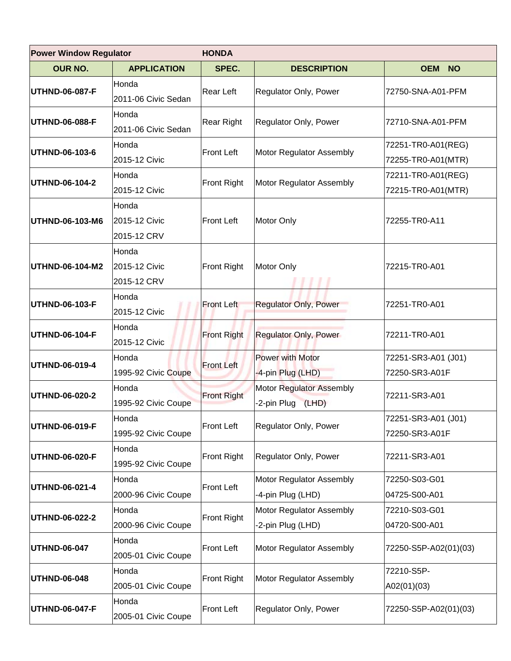| <b>Power Window Regulator</b> |                                       | <b>HONDA</b>       |                                                      |                                          |  |
|-------------------------------|---------------------------------------|--------------------|------------------------------------------------------|------------------------------------------|--|
| <b>OUR NO.</b>                | <b>APPLICATION</b>                    | SPEC.              | <b>DESCRIPTION</b>                                   | <b>OEM</b><br><b>NO</b>                  |  |
| <b>UTHND-06-087-F</b>         | Honda<br>2011-06 Civic Sedan          | Rear Left          | Regulator Only, Power                                | 72750-SNA-A01-PFM                        |  |
| <b>UTHND-06-088-F</b>         | Honda<br>2011-06 Civic Sedan          | <b>Rear Right</b>  | Regulator Only, Power                                | 72710-SNA-A01-PFM                        |  |
| UTHND-06-103-6                | Honda<br>2015-12 Civic                | Front Left         | Motor Regulator Assembly                             | 72251-TR0-A01(REG)<br>72255-TR0-A01(MTR) |  |
| UTHND-06-104-2                | Honda<br>2015-12 Civic                | Front Right        | Motor Regulator Assembly                             | 72211-TR0-A01(REG)<br>72215-TR0-A01(MTR) |  |
| UTHND-06-103-M6               | Honda<br>2015-12 Civic<br>2015-12 CRV | <b>Front Left</b>  | Motor Only                                           | 72255-TR0-A11                            |  |
| UTHND-06-104-M2               | Honda<br>2015-12 Civic<br>2015-12 CRV | Front Right        | Motor Only                                           | 72215-TR0-A01                            |  |
| <b>UTHND-06-103-F</b>         | Honda<br>2015-12 Civic                | <b>Front Left</b>  | <b>Regulator Only, Power</b>                         | 72251-TR0-A01                            |  |
| <b>UTHND-06-104-F</b>         | Honda<br>2015-12 Civic                | <b>Front Right</b> | <b>Regulator Only, Power</b>                         | 72211-TR0-A01                            |  |
| UTHND-06-019-4                | Honda<br>1995-92 Civic Coupe          | <b>Front Left</b>  | Power with Motor<br>-4-pin Plug (LHD)                | 72251-SR3-A01 (J01)<br>72250-SR3-A01F    |  |
| <b>UTHND-06-020-2</b>         | Honda<br>1995-92 Civic Coupe          | <b>Front Right</b> | Motor Regulator Assembly<br>-2-pin Plug<br>(LHD)     | 72211-SR3-A01                            |  |
| UTHND-06-019-F                | Honda<br>1995-92 Civic Coupe          | <b>Front Left</b>  | Regulator Only, Power                                | 72251-SR3-A01 (J01)<br>72250-SR3-A01F    |  |
| <b>UTHND-06-020-F</b>         | Honda<br>1995-92 Civic Coupe          | Front Right        | Regulator Only, Power                                | 72211-SR3-A01                            |  |
| UTHND-06-021-4                | Honda<br>2000-96 Civic Coupe          | <b>Front Left</b>  | <b>Motor Regulator Assembly</b><br>-4-pin Plug (LHD) | 72250-S03-G01<br>04725-S00-A01           |  |
| <b>UTHND-06-022-2</b>         | Honda<br>2000-96 Civic Coupe          | <b>Front Right</b> | Motor Regulator Assembly<br>-2-pin Plug (LHD)        | 72210-S03-G01<br>04720-S00-A01           |  |
| <b>UTHND-06-047</b>           | Honda<br>2005-01 Civic Coupe          | <b>Front Left</b>  | Motor Regulator Assembly                             | 72250-S5P-A02(01)(03)                    |  |
| UTHND-06-048                  | Honda<br>2005-01 Civic Coupe          | <b>Front Right</b> | Motor Regulator Assembly                             | 72210-S5P-<br>A02(01)(03)                |  |
| <b>UTHND-06-047-F</b>         | Honda<br>2005-01 Civic Coupe          | Front Left         | Regulator Only, Power                                | 72250-S5P-A02(01)(03)                    |  |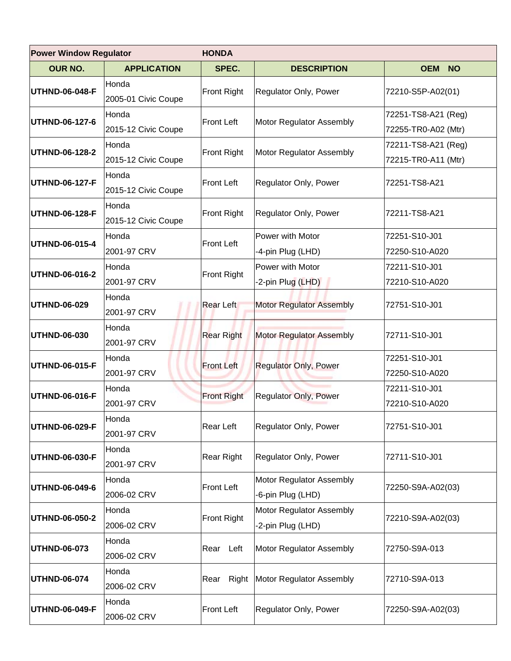| <b>Power Window Regulator</b> |                              | <b>HONDA</b>       |                                               |                                            |
|-------------------------------|------------------------------|--------------------|-----------------------------------------------|--------------------------------------------|
| <b>OUR NO.</b>                | <b>APPLICATION</b>           | SPEC.              | <b>DESCRIPTION</b>                            | <b>OEM NO</b>                              |
| UTHND-06-048-F                | Honda<br>2005-01 Civic Coupe | <b>Front Right</b> | <b>Regulator Only, Power</b>                  | 72210-S5P-A02(01)                          |
| UTHND-06-127-6                | Honda<br>2015-12 Civic Coupe | Front Left         | Motor Regulator Assembly                      | 72251-TS8-A21 (Reg)<br>72255-TR0-A02 (Mtr) |
| UTHND-06-128-2                | Honda<br>2015-12 Civic Coupe | Front Right        | Motor Regulator Assembly                      | 72211-TS8-A21 (Reg)<br>72215-TR0-A11 (Mtr) |
| UTHND-06-127-F                | Honda<br>2015-12 Civic Coupe | <b>Front Left</b>  | Regulator Only, Power                         | 72251-TS8-A21                              |
| UTHND-06-128-F                | Honda<br>2015-12 Civic Coupe | Front Right        | Regulator Only, Power                         | 72211-TS8-A21                              |
| UTHND-06-015-4                | Honda<br>2001-97 CRV         | <b>Front Left</b>  | Power with Motor<br>-4-pin Plug (LHD)         | 72251-S10-J01<br>72250-S10-A020            |
| UTHND-06-016-2                | Honda<br>2001-97 CRV         | Front Right        | Power with Motor<br>-2-pin Plug (LHD)         | 72211-S10-J01<br>72210-S10-A020            |
| UTHND-06-029                  | Honda<br>2001-97 CRV         | <b>Rear Left</b>   | <b>Motor Regulator Assembly</b>               | 72751-S10-J01                              |
| UTHND-06-030                  | Honda<br>2001-97 CRV         | <b>Rear Right</b>  | Motor Regulator Assembly                      | 72711-S10-J01                              |
| UTHND-06-015-F                | Honda<br>2001-97 CRV         | <b>Front Left</b>  | <b>Regulator Only, Power</b>                  | 72251-S10-J01<br>72250-S10-A020            |
| UTHND-06-016-F                | Honda<br>2001-97 CRV         | <b>Front Right</b> | <b>Regulator Only, Power</b>                  | 72211-S10-J01<br>72210-S10-A020            |
| UTHND-06-029-F                | Honda<br>2001-97 CRV         | Rear Left          | Regulator Only, Power                         | 72751-S10-J01                              |
| UTHND-06-030-F                | Honda<br>2001-97 CRV         | Rear Right         | Regulator Only, Power                         | 72711-S10-J01                              |
| UTHND-06-049-6                | Honda<br>2006-02 CRV         | <b>Front Left</b>  | Motor Regulator Assembly<br>-6-pin Plug (LHD) | 72250-S9A-A02(03)                          |
| UTHND-06-050-2                | Honda<br>2006-02 CRV         | <b>Front Right</b> | Motor Regulator Assembly<br>-2-pin Plug (LHD) | 72210-S9A-A02(03)                          |
| UTHND-06-073                  | Honda<br>2006-02 CRV         | Rear Left          | Motor Regulator Assembly                      | 72750-S9A-013                              |
| UTHND-06-074                  | Honda<br>2006-02 CRV         | Rear               | Right Motor Regulator Assembly                | 72710-S9A-013                              |
| UTHND-06-049-F                | Honda<br>2006-02 CRV         | <b>Front Left</b>  | Regulator Only, Power                         | 72250-S9A-A02(03)                          |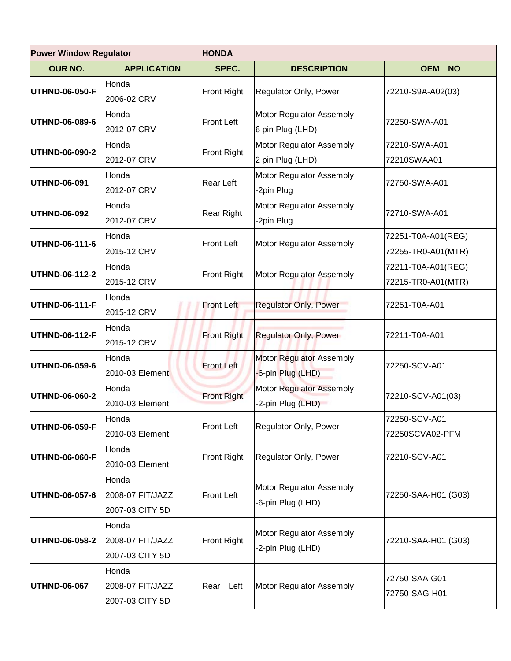| <b>Power Window Regulator</b> |                                              | <b>HONDA</b>       |                                               |                                          |  |
|-------------------------------|----------------------------------------------|--------------------|-----------------------------------------------|------------------------------------------|--|
| <b>OUR NO.</b>                | <b>APPLICATION</b>                           | SPEC.              | <b>DESCRIPTION</b>                            | <b>OEM NO</b>                            |  |
| UTHND-06-050-F                | Honda<br>2006-02 CRV                         | <b>Front Right</b> | Regulator Only, Power                         | 72210-S9A-A02(03)                        |  |
| UTHND-06-089-6                | Honda<br>2012-07 CRV                         | <b>Front Left</b>  | Motor Regulator Assembly<br>6 pin Plug (LHD)  | 72250-SWA-A01                            |  |
| UTHND-06-090-2                | Honda<br>2012-07 CRV                         | <b>Front Right</b> | Motor Regulator Assembly<br>2 pin Plug (LHD)  | 72210-SWA-A01<br>72210SWAA01             |  |
| UTHND-06-091                  | Honda<br>2012-07 CRV                         | <b>Rear Left</b>   | Motor Regulator Assembly<br>-2pin Plug        | 72750-SWA-A01                            |  |
| UTHND-06-092                  | Honda<br>2012-07 CRV                         | <b>Rear Right</b>  | Motor Regulator Assembly<br>-2pin Plug        | 72710-SWA-A01                            |  |
| UTHND-06-111-6                | Honda<br>2015-12 CRV                         | <b>Front Left</b>  | Motor Regulator Assembly                      | 72251-T0A-A01(REG)<br>72255-TR0-A01(MTR) |  |
| UTHND-06-112-2                | Honda<br>2015-12 CRV                         | <b>Front Right</b> | Motor Regulator Assembly                      | 72211-T0A-A01(REG)<br>72215-TR0-A01(MTR) |  |
| UTHND-06-111-F                | Honda<br>2015-12 CRV                         | <b>Front Left</b>  | <b>Regulator Only, Power</b>                  | 72251-T0A-A01                            |  |
| UTHND-06-112-F                | Honda<br>2015-12 CRV                         | <b>Front Right</b> | <b>Regulator Only, Power</b>                  | 72211-T0A-A01                            |  |
| UTHND-06-059-6                | Honda<br>2010-03 Element                     | <b>Front Left</b>  | Motor Regulator Assembly<br>-6-pin Plug (LHD) | 72250-SCV-A01                            |  |
| UTHND-06-060-2                | Honda<br>2010-03 Element                     | <b>Front Right</b> | Motor Regulator Assembly<br>-2-pin Plug (LHD) | 72210-SCV-A01(03)                        |  |
| UTHND-06-059-F                | Honda<br>2010-03 Element                     | <b>Front Left</b>  | Regulator Only, Power                         | 72250-SCV-A01<br>72250SCVA02-PFM         |  |
| UTHND-06-060-F                | Honda<br>2010-03 Element                     | <b>Front Right</b> | Regulator Only, Power                         | 72210-SCV-A01                            |  |
| UTHND-06-057-6                | Honda<br>2008-07 FIT/JAZZ<br>2007-03 CITY 5D | <b>Front Left</b>  | Motor Regulator Assembly<br>-6-pin Plug (LHD) | 72250-SAA-H01 (G03)                      |  |
| UTHND-06-058-2                | Honda<br>2008-07 FIT/JAZZ<br>2007-03 CITY 5D | <b>Front Right</b> | Motor Regulator Assembly<br>-2-pin Plug (LHD) | 72210-SAA-H01 (G03)                      |  |
| UTHND-06-067                  | Honda<br>2008-07 FIT/JAZZ<br>2007-03 CITY 5D | Rear Left          | Motor Regulator Assembly                      | 72750-SAA-G01<br>72750-SAG-H01           |  |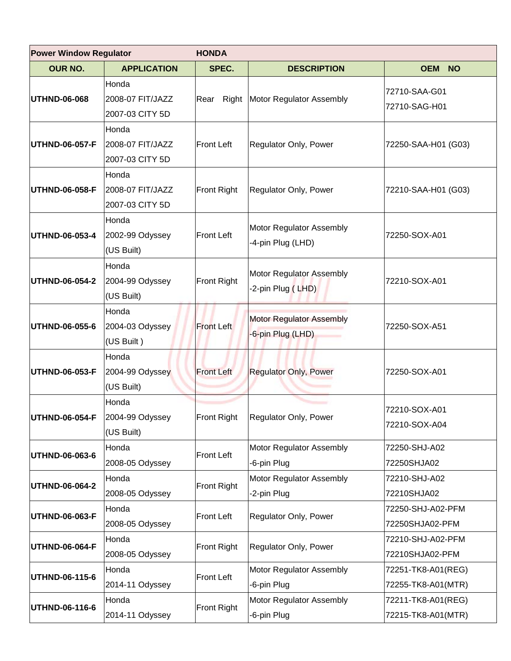| <b>Power Window Regulator</b>     |                                              | <b>HONDA</b>       |                                                      |                                          |
|-----------------------------------|----------------------------------------------|--------------------|------------------------------------------------------|------------------------------------------|
| <b>OUR NO.</b>                    | <b>APPLICATION</b>                           | SPEC.              | <b>DESCRIPTION</b>                                   | <b>OEM</b><br><b>NO</b>                  |
| UTHND-06-068                      | Honda<br>2008-07 FIT/JAZZ<br>2007-03 CITY 5D | Rear               | Right Motor Regulator Assembly                       | 72710-SAA-G01<br>72710-SAG-H01           |
| UTHND-06-057-F                    | Honda<br>2008-07 FIT/JAZZ<br>2007-03 CITY 5D | Front Left         | Regulator Only, Power                                | 72250-SAA-H01 (G03)                      |
| UTHND-06-058-F                    | Honda<br>2008-07 FIT/JAZZ<br>2007-03 CITY 5D | Front Right        | Regulator Only, Power                                | 72210-SAA-H01 (G03)                      |
| UTHND-06-053-4                    | Honda<br>2002-99 Odyssey<br>(US Built)       | <b>Front Left</b>  | Motor Regulator Assembly<br>-4-pin Plug (LHD)        | 72250-SOX-A01                            |
| UTHND-06-054-2                    | Honda<br>2004-99 Odyssey<br>(US Built)       | Front Right        | Motor Regulator Assembly<br>-2-pin Plug (LHD)        | 72210-SOX-A01                            |
| UTHND-06-055-6                    | Honda<br>2004-03 Odyssey<br>(US Built)       | <b>Front Left</b>  | <b>Motor Regulator Assembly</b><br>-6-pin Plug (LHD) | 72250-SOX-A51                            |
| UTHND-06-053-F                    | Honda<br>2004-99 Odyssey<br>(US Built)       | <b>Front Left</b>  | <b>Regulator Only, Power</b>                         | 72250-SOX-A01                            |
| $ UTHND-06-054-F 2004-99$ Odyssey | Honda<br>(US Built)                          | Front Right        | Regulator Only, Power                                | 72210-SOX-A01<br>72210-SOX-A04           |
| UTHND-06-063-6                    | Honda<br>2008-05 Odyssey                     | Front Left         | Motor Regulator Assembly<br>-6-pin Plug              | 72250-SHJ-A02<br>72250SHJA02             |
| UTHND-06-064-2                    | Honda<br>2008-05 Odyssey                     | <b>Front Right</b> | Motor Regulator Assembly<br>-2-pin Plug              | 72210-SHJ-A02<br>72210SHJA02             |
| UTHND-06-063-F                    | Honda<br>2008-05 Odyssey                     | Front Left         | Regulator Only, Power                                | 72250-SHJ-A02-PFM<br>72250SHJA02-PFM     |
| UTHND-06-064-F                    | Honda<br>2008-05 Odyssey                     | <b>Front Right</b> | Regulator Only, Power                                | 72210-SHJ-A02-PFM<br>72210SHJA02-PFM     |
| UTHND-06-115-6                    | Honda<br>2014-11 Odyssey                     | <b>Front Left</b>  | Motor Regulator Assembly<br>-6-pin Plug              | 72251-TK8-A01(REG)<br>72255-TK8-A01(MTR) |
| UTHND-06-116-6                    | Honda<br>2014-11 Odyssey                     | <b>Front Right</b> | Motor Regulator Assembly<br>-6-pin Plug              | 72211-TK8-A01(REG)<br>72215-TK8-A01(MTR) |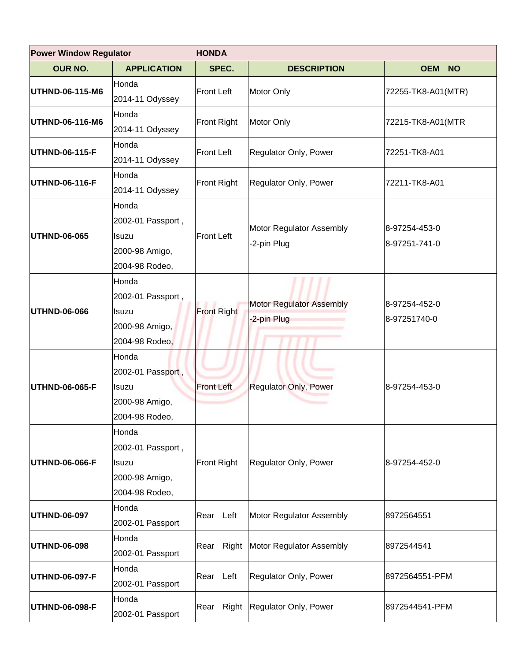| <b>Power Window Regulator</b> |                                                                                | <b>HONDA</b>       |                                               |                                |  |
|-------------------------------|--------------------------------------------------------------------------------|--------------------|-----------------------------------------------|--------------------------------|--|
| <b>OUR NO.</b>                | <b>APPLICATION</b>                                                             | SPEC.              | <b>DESCRIPTION</b>                            | <b>OEM NO</b>                  |  |
| UTHND-06-115-M6               | Honda<br>2014-11 Odyssey                                                       | <b>Front Left</b>  | Motor Only                                    | 72255-TK8-A01(MTR)             |  |
| UTHND-06-116-M6               | Honda<br>2014-11 Odyssey                                                       | <b>Front Right</b> | Motor Only                                    | 72215-TK8-A01(MTR              |  |
| UTHND-06-115-F                | Honda<br>2014-11 Odyssey                                                       | <b>Front Left</b>  | Regulator Only, Power                         | 72251-TK8-A01                  |  |
| UTHND-06-116-F                | Honda<br>2014-11 Odyssey                                                       | <b>Front Right</b> | Regulator Only, Power                         | 72211-TK8-A01                  |  |
| UTHND-06-065                  | Honda<br>2002-01 Passport,<br><b>Isuzu</b><br>2000-98 Amigo,<br>2004-98 Rodeo, | <b>Front Left</b>  | Motor Regulator Assembly<br>-2-pin Plug       | 8-97254-453-0<br>8-97251-741-0 |  |
| UTHND-06-066                  | Honda<br>2002-01 Passport,<br>Isuzu<br>2000-98 Amigo,<br>2004-98 Rodeo,        | <b>Front Right</b> | <b>Motor Regulator Assembly</b><br>2-pin Plug | 8-97254-452-0<br>8-97251740-0  |  |
| UTHND-06-065-F                | Honda<br>2002-01 Passport,<br>Isuzu<br>2000-98 Amigo,<br>2004-98 Rodeo,        | <b>Front Left</b>  | <b>Regulator Only, Power</b>                  | 8-97254-453-0                  |  |
| UTHND-06-066-F                | Honda<br>2002-01 Passport,<br><b>Isuzu</b><br>2000-98 Amigo,<br>2004-98 Rodeo, | <b>Front Right</b> | Regulator Only, Power                         | 8-97254-452-0                  |  |
| <b>UTHND-06-097</b>           | Honda<br>2002-01 Passport                                                      | Rear Left          | Motor Regulator Assembly                      | 8972564551                     |  |
| UTHND-06-098                  | Honda<br>2002-01 Passport                                                      | Rear               | Right Motor Regulator Assembly                | 8972544541                     |  |
| <b>UTHND-06-097-F</b>         | Honda<br>2002-01 Passport                                                      | Rear Left          | Regulator Only, Power                         | 8972564551-PFM                 |  |
| UTHND-06-098-F                | Honda<br>2002-01 Passport                                                      |                    | Rear Right Regulator Only, Power              | 8972544541-PFM                 |  |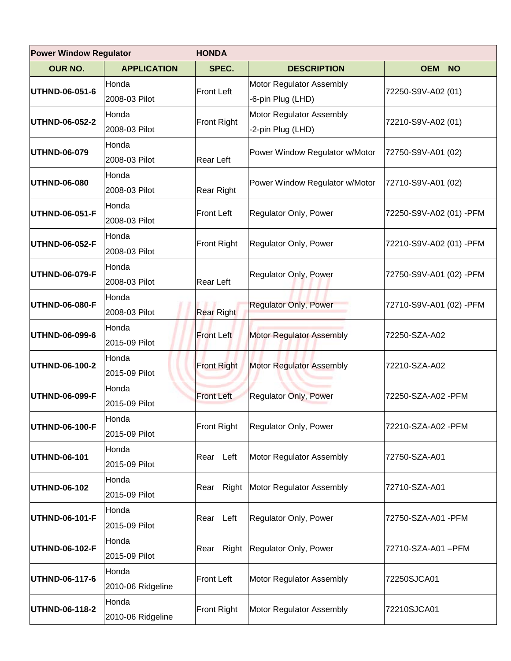| <b>Power Window Regulator</b> |                            | <b>HONDA</b>       |                                               |                         |  |
|-------------------------------|----------------------------|--------------------|-----------------------------------------------|-------------------------|--|
| <b>OUR NO.</b>                | <b>APPLICATION</b>         | SPEC.              | <b>DESCRIPTION</b>                            | <b>OEM</b><br><b>NO</b> |  |
| UTHND-06-051-6                | Honda<br>2008-03 Pilot     | <b>Front Left</b>  | Motor Regulator Assembly<br>-6-pin Plug (LHD) | 72250-S9V-A02 (01)      |  |
| UTHND-06-052-2                | Honda<br>2008-03 Pilot     | <b>Front Right</b> | Motor Regulator Assembly<br>-2-pin Plug (LHD) | 72210-S9V-A02 (01)      |  |
| UTHND-06-079                  | Honda<br>2008-03 Pilot     | Rear Left          | Power Window Regulator w/Motor                | 72750-S9V-A01 (02)      |  |
| UTHND-06-080                  | Honda<br>2008-03 Pilot     | Rear Right         | Power Window Regulator w/Motor                | 72710-S9V-A01 (02)      |  |
| UTHND-06-051-F                | Honda<br>2008-03 Pilot     | <b>Front Left</b>  | Regulator Only, Power                         | 72250-S9V-A02 (01) -PFM |  |
| UTHND-06-052-F                | Honda<br>2008-03 Pilot     | <b>Front Right</b> | Regulator Only, Power                         | 72210-S9V-A02 (01) -PFM |  |
| UTHND-06-079-F                | Honda<br>2008-03 Pilot     | Rear Left          | Regulator Only, Power                         | 72750-S9V-A01 (02) -PFM |  |
| UTHND-06-080-F                | Honda<br>2008-03 Pilot     | <b>Rear Right</b>  | <b>Regulator Only, Power</b>                  | 72710-S9V-A01 (02) -PFM |  |
| UTHND-06-099-6                | Honda<br>2015-09 Pilot     | <b>Front Left</b>  | <b>Motor Regulator Assembly</b>               | 72250-SZA-A02           |  |
| UTHND-06-100-2                | Honda<br>2015-09 Pilot     | <b>Front Right</b> | <b>Motor Regulator Assembly</b>               | 72210-SZA-A02           |  |
| UTHND-06-099-F                | Honda<br>2015-09 Pilot     | <b>Front Left</b>  | <b>Regulator Only, Power</b>                  | 72250-SZA-A02 - PFM     |  |
| UTHND-06-100-F                | Honda<br>2015-09 Pilot     | <b>Front Right</b> | Regulator Only, Power                         | 72210-SZA-A02 - PFM     |  |
| UTHND-06-101                  | Honda<br>2015-09 Pilot     | Rear Left          | Motor Regulator Assembly                      | 72750-SZA-A01           |  |
| UTHND-06-102                  | Honda<br>2015-09 Pilot     | Right<br>Rear      | Motor Regulator Assembly                      | 72710-SZA-A01           |  |
| UTHND-06-101-F                | Honda<br>2015-09 Pilot     | Rear Left          | Regulator Only, Power                         | 72750-SZA-A01 -PFM      |  |
| UTHND-06-102-F                | Honda<br>2015-09 Pilot     | Right<br>Rear      | Regulator Only, Power                         | 72710-SZA-A01 –PFM      |  |
| UTHND-06-117-6                | Honda<br>2010-06 Ridgeline | <b>Front Left</b>  | Motor Regulator Assembly                      | 72250SJCA01             |  |
| UTHND-06-118-2                | Honda<br>2010-06 Ridgeline | <b>Front Right</b> | Motor Regulator Assembly                      | 72210SJCA01             |  |